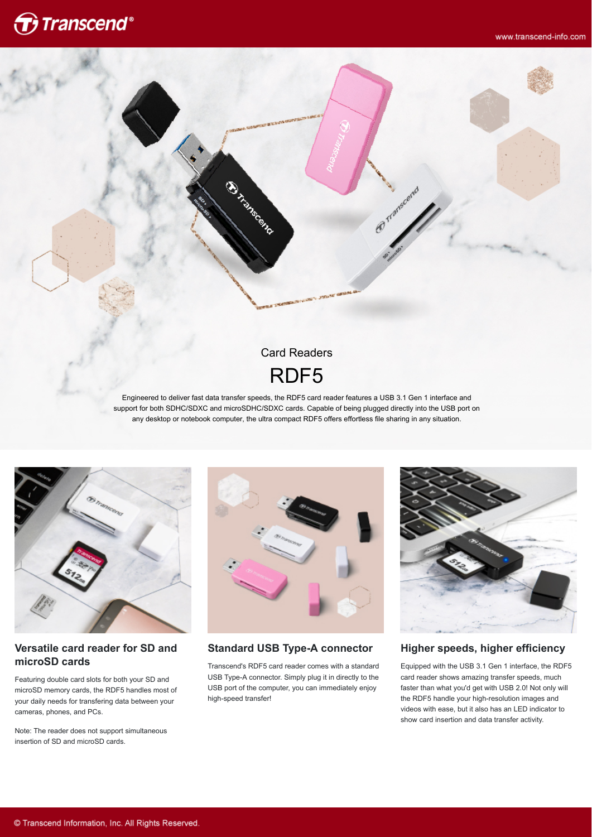

# Card Readers RDF5

@ manageme

Chicagoach R.

Engineered to deliver fast data transfer speeds, the RDF5 card reader features a USB 3.1 Gen 1 interface and support for both SDHC/SDXC and microSDHC/SDXC cards. Capable of being plugged directly into the USB port on any desktop or notebook computer, the ultra compact RDF5 offers effortless file sharing in any situation.



#### **Versatile card reader for SD and microSD cards**

Featuring double card slots for both your SD and microSD memory cards, the RDF5 handles most of your daily needs for transfering data between your cameras, phones, and PCs.

Note: The reader does not support simultaneous insertion of SD and microSD cards.



**Standard USB Type-A connector**

Transcend's RDF5 card reader comes with a standard USB Type-A connector. Simply plug it in directly to the USB port of the computer, you can immediately enjoy high-speed transfer!



**Higher speeds, higher efficiency**

Equipped with the USB 3.1 Gen 1 interface, the RDF5 card reader shows amazing transfer speeds, much faster than what you'd get with USB 2.0! Not only will the RDF5 handle your high-resolution images and videos with ease, but it also has an LED indicator to show card insertion and data transfer activity.